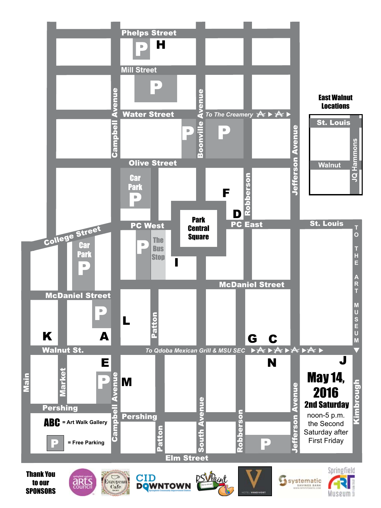